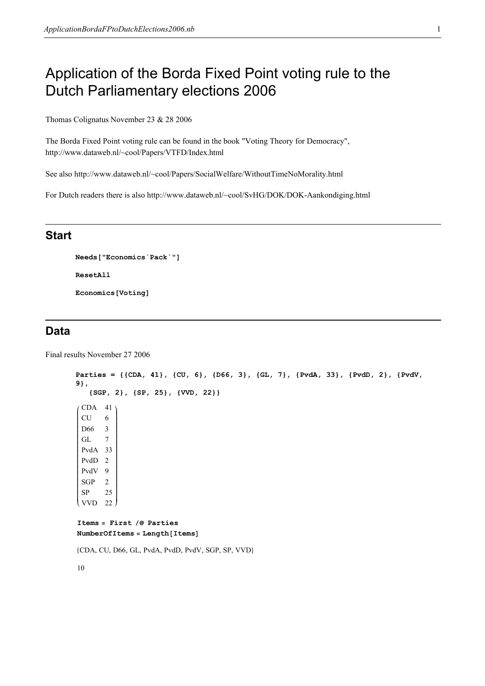# Application of the Borda Fixed Point voting rule to the Dutch Parliamentary elections 2006

Thomas Colignatus November 23 & 28 2006

The Borda Fixed Point voting rule can be found in the book "Voting Theory for Democracy", http://www.dataweb.nl/~cool/Papers/VTFD/Index.html

See also http://www.dataweb.nl/~cool/Papers/SocialWelfare/WithoutTimeNoMorality.html

For Dutch readers there is also http://www.dataweb.nl/~cool/SvHG/DOK/DOK-Aankondiging.html

## Start

```
Needs["Economics`Pack`"]
ResetAll
Economics[Voting]
```
# Data

Final results November 27 2006

```
Parties = {{CDA, 41}, {CU, 6}, {D66, 3}, {GL, 7}, {PvdA, 33}, {PvdD, 2}, {PvdV, 
9}, 
       {SGP, 2}, {SP, 25}, {VVD, 22}}
i
k
jjejtje ja politika ja politika ja politika ja politika ja politika ja politika ja politika ja politika ja pol<br>Politika ja politika ja politika ja politika ja politika ja politika ja politika ja politika ja politika ja po
  CDA 41
  CU 6
  D66 3
  GL 7
  PvdA 33
  PvdD 2
  PvdV 9
  SGP 2
  SP 25
  VVD
                  \overline{1}22
                  zzzzzzzzzzzzzzzzzzzzzzzzzzzzzzzzzzzzzzzzzzzzz
Items = First /@ Parties
NumberOfItems = Length[Items]8CDA, CU, D66, GL, PvdA, PvdD, PvdV, SGP, SP, VVD<
10
```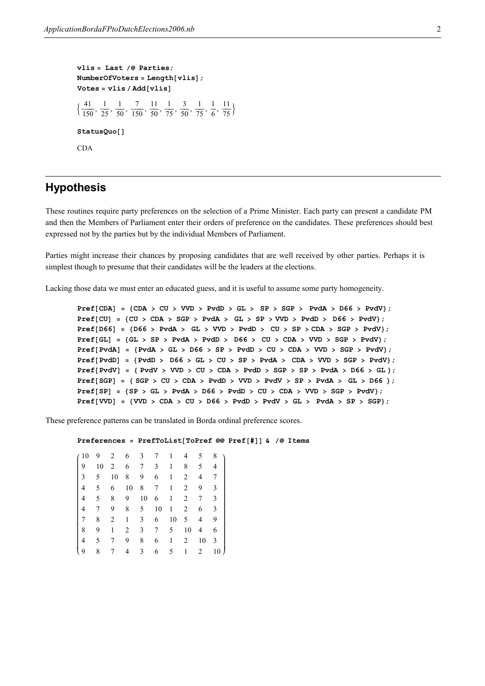```
vlis = Last \sqrt{\omega} Parties;
NumberOfVoters = Length[vlis];Votes = vlis / Add[vlis]\frac{41}{150}\frac{41}{150}, \frac{1}{25}\frac{1}{25}, \frac{1}{50}\frac{1}{50}, \frac{7}{150}\frac{7}{150}, \frac{11}{50}\frac{11}{50}, \frac{1}{75}\frac{1}{75}, \frac{3}{50}\frac{3}{50}, \frac{1}{75}\frac{1}{75}, \frac{1}{6}\frac{1}{6}, \frac{11}{75}\overline{75}StatusQuo[]
CDA
```
## Hypothesis

These routines require party preferences on the selection of a Prime Minister. Each party can present a candidate PM and then the Members of Parliament enter their orders of preference on the candidates. These preferences should best expressed not by the parties but by the individual Members of Parliament.

Parties might increase their chances by proposing candidates that are well received by other parties. Perhaps it is simplest though to presume that their candidates will be the leaders at the elections.

Lacking those data we must enter an educated guess, and it is useful to assume some party homogeneity.

```
Pref[CDA] = {CDA > CU > VVD > PvdD > GL > SP > SGP > PvdA > D66 > PvdV};Pref[CU] = \{CU > CDA > SGP > PvdA > GL > SP > VVD > PvdD > D66 > PvdV\};Pref[D66] = \{D66 > PvdA > GL > VVD > PvdD > CU > SP > CDA > SGP > PvdV\};Pref[GL] = {GL > SP > PvdA > PvdD > D66 > CU > CDA > VVD > SGP > PvdV};Pref[PvdA] = {PvdA > GL > D66 > SP > PvdD > CU > CDA > VVD > SGP > PvdV};Pref[PvdD] = {PvdD > D66 > GL > CU > SP > PvdA > CDA > VVD > SGP > PvdV};Pref[PvdV] = { PvdV > VVD > CU > CDA > PvdD > SGP > SP > PvdA > D66 > GL };Pref[SGP] = {SGP > CU > CDA > PvdD > VVD > PvdV > SP > PvdA > GL > D66 };Pref[SP] = {SP > GL > PvdA > DG > PvdD > CU > CDA > VVD > SGP > PvdV};Pref[WD] = \{VVD > CDA > CU > D66 > PvdD > PvdV > DdV > GL > PvdA > SPP\};
```
These preference patterns can be translated in Borda ordinal preference scores.

```
Preferences = PrefToList[ToPref @@ Pref[#]] & /@ Items
```
i k jjjjjjjjjjjjjjjjjjjjjjjjjjjjjjjjjjjjjjjjjjjjj 10 9 2 6 3 7 1 4 5 8 9 10 2 6 7 3 1 8 5 4 3 5 10 8 9 6 1 2 4 7 4 5 6 10 8 7 1 2 9 3 4 5 8 9 10 6 1 2 7 3 4 7 9 8 5 10 1 2 6 3 7 8 2 1 3 6 10 5 4 9 8 9 1 2 3 7 5 10 4 6 4 5 7 9 8 6 1 2 10 3 9 8 7 4 3 6 5 1 2 10  $\overline{1}$  $10<sup>1</sup>$ zzzzzzzzzzzzzzzzzzzzzzzzzzzzzzzzzzzzzzzzzzzzz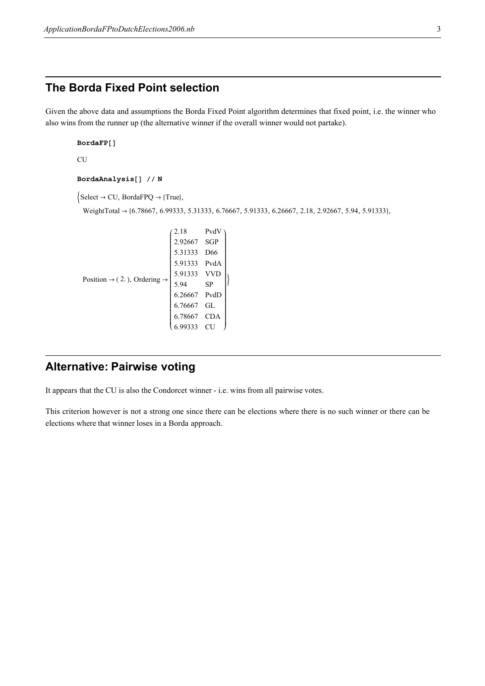# The Borda Fixed Point selection

Given the above data and assumptions the Borda Fixed Point algorithm determines that fixed point, i.e. the winner who also wins from the runner up (the alternative winner if the overall winner would not partake).

```
BordaFP[]
CU
BordaAnalysis[] // N
\{\text{Select} \to \text{CU}, \text{BordaFPQ} \to \{\text{True}\},\WeightTotal → {6.78667, 6.99333, 5.31333, 6.76667, 5.91333, 6.26667, 2.18, 2.92667, 5.94, 5.91333},
                                 2.18PvdV
                                 2.92667 SGP
                                 5.31333 D66
                                 5.91333 PvdA
                                 5.91333 VVD
                                                   \overline{1}
```

```
Position \rightarrow (2.), Ordering \rightarrowk
                                                            jjjjjjjjjjjjjjjjjjjjjjjjjjjjjjjjjjjjjjjjjjjjj
                                                              5.94 SP
                                                              6.26667 PvdD
                                                              6.76667 GL
                                                              6.78667 CDA
                                                              6.99333 CU
                                                                                                 \overline{y}zzzzzzzzzzzzzzzzzzzzzzzzzzzzzzzzzzzzzzzzzzzzz
                                                                                                   \left\{ \right.
```
# Alternative: Pairwise voting

It appears that the CU is also the Condorcet winner - i.e. wins from all pairwise votes.

This criterion however is not a strong one since there can be elections where there is no such winner or there can be elections where that winner loses in a Borda approach.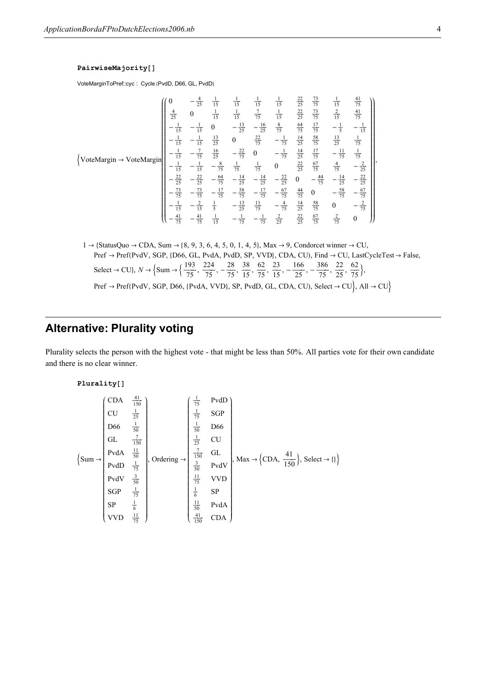#### PairwiseMajority[]

VoteMarginToPref::cyc : Cycle {PvdD, D66, GL, PvdD}

$$
\left\{\text{VoteMargin} \rightarrow \text{VoteMargin}\right\}
$$
\n
$$
\left\{\text{VoteMargin} \rightarrow \text{Vote} \text{Margin}\right\}
$$
\n
$$
\left\{\n\begin{array}{cccccc}\n0 & -\frac{4}{25} & \frac{1}{15} & \frac{1}{15} & \frac{1}{15} & \frac{1}{15} & \frac{22}{25} & \frac{73}{75} & \frac{1}{15} & \frac{41}{75} \\
\frac{4}{25} & 0 & \frac{1}{15} & \frac{1}{15} & \frac{7}{75} & \frac{1}{15} & \frac{22}{25} & \frac{73}{75} & \frac{2}{15} & \frac{41}{75} \\
-\frac{1}{15} & -\frac{1}{15} & 0 & -\frac{13}{25} & -\frac{16}{25} & \frac{8}{75} & \frac{64}{75} & \frac{17}{75} & -\frac{1}{5} & -\frac{1}{15} \\
-\frac{1}{15} & -\frac{1}{15} & \frac{13}{25} & 0 & \frac{22}{75} & -\frac{1}{75} & \frac{14}{25} & \frac{58}{75} & \frac{13}{25} & \frac{1}{75} \\
-\frac{1}{15} & -\frac{7}{15} & \frac{16}{25} & -\frac{22}{75} & 0 & -\frac{1}{75} & \frac{14}{25} & \frac{17}{75} & -\frac{11}{75} & \frac{1}{75} \\
-\frac{1}{15} & -\frac{1}{15} & -\frac{8}{75} & \frac{1}{75} & \frac{1}{75} & 0 & \frac{22}{25} & \frac{67}{75} & \frac{4}{75} & -\frac{2}{25} \\
-\frac{22}{25} & -\frac{22}{25} & -\frac{64}{75} & -\frac{14}{25} & -\frac{12}{25} & -\frac{67}{25} & 0 & -\frac{44}{75} & -\frac{14}{25} & -\frac{22}{25} \\
-\frac{73}{75} & -\frac{73}{75} & -\frac{17}{75} & -\frac{58}{75}
$$

```
1 \rightarrow {StatusQuo \rightarrow CDA, Sum \rightarrow {8, 9, 3, 6, 4, 5, 0, 1, 4, 5}, Max \rightarrow 9, Condorcet winner \rightarrow CU,
      Pref \rightarrow Pref(PvdV, SGP, {D66, GL, PvdA, PvdD, SP, VVD}, CDA, CU), Find \rightarrow CU, LastCycleTest \rightarrow False,
      Select \rightarrow CU}, N \rightarrow \{Sum \rightarrow \{\frac{193}{75}\}\frac{193}{75}, \frac{224}{75}\frac{224}{75}, -\frac{28}{75}\frac{28}{75}, \frac{38}{15}\frac{38}{15}, \frac{62}{75}\frac{62}{75}, \frac{23}{15}\frac{23}{15}, -\frac{166}{25}\frac{166}{25}, -\frac{386}{75}\frac{22}{75}, \frac{22}{25}\frac{22}{25}, \frac{62}{75}\frac{5}{75}Pref \rightarrow Pref(PvdV, SGP, D66, {PvdA, VVD}, SP, PvdD, GL, CDA, CU), Select \rightarrow CU, All \rightarrow CU
```
# Alternative: Plurality voting

Plurality selects the person with the highest vote - that might be less than 50%. All parties vote for their own candidate and there is no clear winner.

### Plurality[]

$$
\left\{\text{Sum} \rightarrow \begin{pmatrix} \text{CDA} & \frac{41}{150} \\ \text{CU} & \frac{1}{25} \\ \text{D66} & \frac{1}{50} \\ \text{GL} & \frac{7}{150} \\ \text{PvdA} & \frac{11}{50} \\ \text{PvdD} & \frac{1}{75} \\ \text{PvdD} & \frac{1}{75} \\ \text{SGP} & \frac{1}{75} \\ \text{SGP} & \frac{1}{75} \\ \text{SGP} & \frac{1}{75} \\ \text{SP} & \frac{1}{6} \\ \text{VVD} & \frac{11}{75} \end{pmatrix}, \text{Ordering} \rightarrow \begin{pmatrix} \frac{1}{75} & \text{PvdD} \\ \frac{1}{75} & \text{SGP} \\ \frac{1}{50} & \text{D66} \\ \frac{1}{30} & \text{PvdV} \\ \frac{1}{150} & \text{GU} \\ \frac{1}{50} & \text{PvdV} \\ \frac{1}{6} & \text{SP} \\ \frac{11}{150} & \text{PvdA} \\ \frac{11}{150} & \text{CDA} \end{pmatrix}, \text{Select} \rightarrow \{\}
$$

,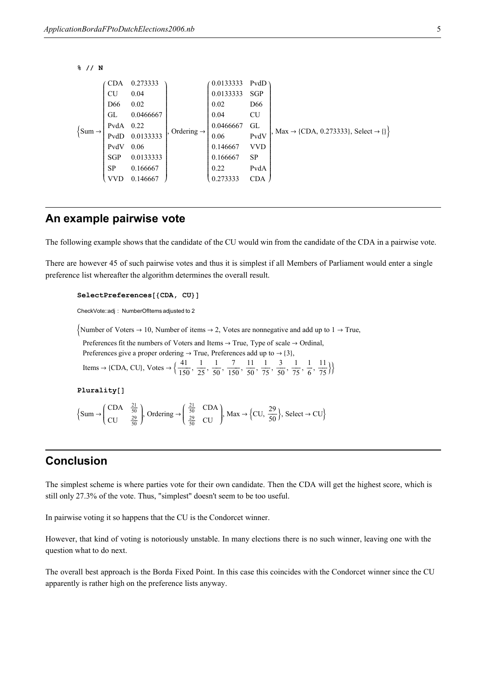```
% // N
```

```
\{Sum \rightarrowi
            k
            jjjjjjjjjjjjjjjjjjjjjjjjjjjjjjjjjjjjjjjjjjjjj
              CDA 0.273333
             CU 0.04
             D66 0.02
             GL 0.0466667
             PvdA 0.22
             PvdD 0.0133333
             PvdV 0.06
             SGP 0.0133333
             SP 0.166667
             VVD 0.146667
                                         \overline{ }\overline{y}zzzzzzzzzzzzzzzzzzzzzzzzzzzzzzzzzzzzzzzzzzzzz
                                            Ordering -
                                                              i
                                                              k
                                                              jjjjjjjjjjjjjjjjjjjjjjjjjjjjjjjjjjjjjjjjjjjjj
                                                               0.0133333 PvdD
                                                               0.0133333 SGP
                                                               0.02 D66
                                                               0.04 CU
                                                               0.0466667 GL
                                                               0.06 PvdV
                                                               0.146667 VVD
                                                               0.166667 SP
                                                               0.22 PvdA
                                                               0.273333 CDA
                                                                                           \overline{ }\overline{y}zzzzzzzzzzzzzzzzzzzzzzzzzzzzzzzzzzzzzzzzzzzzz
                                                                                           , \text{Max} \rightarrow \{\text{CDA}, 0.273333\}, \text{Select} \rightarrow \{\}
```
## An example pairwise vote

The following example shows that the candidate of the CU would win from the candidate of the CDA in a pairwise vote.

There are however 45 of such pairwise votes and thus it is simplest if all Members of Parliament would enter a single preference list whereafter the algorithm determines the overall result.

## SelectPreferences[{CDA, CU}]

CheckVote::adj : NumberOfItems adjusted to 2

Number of Voters  $\rightarrow$  10, Number of items  $\rightarrow$  2, Votes are nonnegative and add up to 1  $\rightarrow$  True,

Preferences fit the numbers of Voters and Items  $\rightarrow$  True, Type of scale  $\rightarrow$  Ordinal, Preferences give a proper ordering  $\rightarrow$  True, Preferences add up to  $\rightarrow$  {3},

Items  $\rightarrow$  {CDA, CU}, Votes  $\rightarrow \frac{41}{150}$  $\frac{41}{150}, \frac{1}{25}$  $\frac{1}{25}, \frac{1}{50}$  $\frac{1}{50}$ ,  $\frac{7}{150}$  $\frac{7}{150}, \frac{11}{50}$  $\frac{11}{50}, \frac{1}{75}$  $\frac{1}{75}$ ,  $\frac{3}{50}$  $\frac{3}{50}, \frac{1}{75}$  $\frac{1}{75}, \frac{1}{6}$  $\frac{1}{6}, \frac{11}{75}$  $\frac{1}{75}$ }

Plurality[]

$$
\left\{\text{Sum} \rightarrow \begin{pmatrix} \text{CDA} & \frac{21}{50} \\ \text{CU} & \frac{29}{50} \end{pmatrix}, \text{Ordering} \rightarrow \begin{pmatrix} \frac{21}{50} & \text{CDA} \\ \frac{29}{50} & \text{CU} \end{pmatrix}, \text{Max} \rightarrow \begin{pmatrix} \text{CU}, & \frac{29}{50} \end{pmatrix}, \text{Select} \rightarrow \text{CU} \right\}
$$

# Conclusion

The simplest scheme is where parties vote for their own candidate. Then the CDA will get the highest score, which is still only 27.3% of the vote. Thus, "simplest" doesn't seem to be too useful.

In pairwise voting it so happens that the CU is the Condorcet winner.

However, that kind of voting is notoriously unstable. In many elections there is no such winner, leaving one with the question what to do next.

The overall best approach is the Borda Fixed Point. In this case this coincides with the Condorcet winner since the CU apparently is rather high on the preference lists anyway.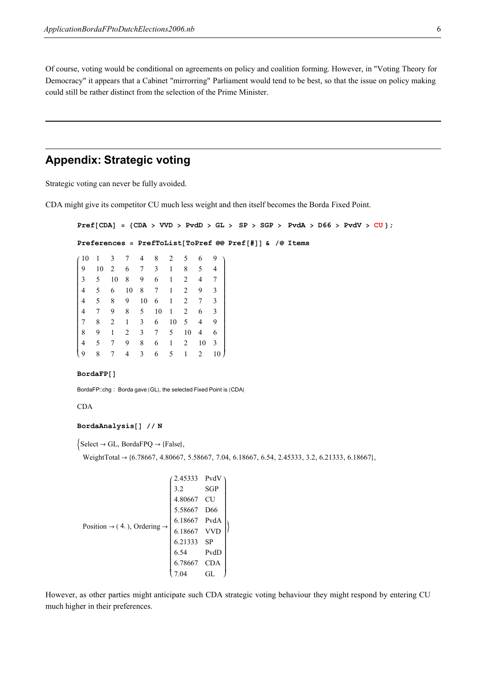Of course, voting would be conditional on agreements on policy and coalition forming. However, in "Voting Theory for Democracy" it appears that a Cabinet "mirrorring" Parliament would tend to be best, so that the issue on policy making could still be rather distinct from the selection of the Prime Minister.

# Appendix: Strategic voting

Strategic voting can never be fully avoided.

CDA might give its competitor CU much less weight and then itself becomes the Borda Fixed Point.

```
Pref[CDA] = \{CDA > VVD > PvdD > GL > SP > SGP > PvdA > D66 > PvdV > CU\};
```
Preferences = PrefToList[ToPref @@ Pref[#]] & /@ Items

| (10            | 1  | 3  |    | 4  | 8  | $\overline{2}$ | 5  | 6  | 9               |
|----------------|----|----|----|----|----|----------------|----|----|-----------------|
| 9              | 10 | 2  | 6  | 7  | 3  | 1              | 8  | 5  | 4               |
| 3              | 5  | 10 | 8  | 9  | 6  | 1              | 2  | 4  | 7               |
| $\overline{4}$ | 5  | 6  | 10 | 8  | 7  | 1              | 2  | 9  | 3               |
| 4              | 5  | 8  | 9  | 10 | 6  | 1              | 2  | 7  | 3               |
| 4              | 7  | 9  | 8  | 5  | 10 | 1              | 2  | 6  | 3               |
| 7              | 8  | 2  | 1  | 3  | 6  | 10             | 5  | 4  | 9               |
| 8              | 9  | 1  | 2  | 3  | 7  | 5              | 10 | 4  | 6               |
| 4              | 5  | 7  | 9  | 8  | 6  | 1              | 2  | 10 | 3               |
| i 9            | 8  | 7  | 4  | 3  | 6  | 5              | 1  | 2  | 10 <sub>1</sub> |

#### $BordaFP$ []

BordaFP::chg: Borda gave {GL}, the selected Fixed Point is {CDA}

CDA

## BordaAnalysis $[]$  // N

 $\{\text{Select} \rightarrow \text{GL}, \text{BordaFPQ} \rightarrow \{\text{False}\},\}$ 

WeightTotal → {6.78667, 4.80667, 5.58667, 7.04, 6.18667, 6.54, 2.45333, 3.2, 6.21333, 6.18667},

$$
Position \rightarrow (4.), Ordering \rightarrow\n \begin{pmatrix}\n 2.45333 & PvdV \\
 3.2 & SGP \\
 4.80667 & CU \\
 5.58667 & D66 \\
 6.18667 & PvdA \\
 6.18667 & VVD \\
 6.21333 & SP \\
 6.54 & PvdD \\
 6.78667 & CDA \\
 7.04 & GL\n \end{pmatrix}
$$

However, as other parties might anticipate such CDA strategic voting behaviour they might respond by entering CU much higher in their preferences.